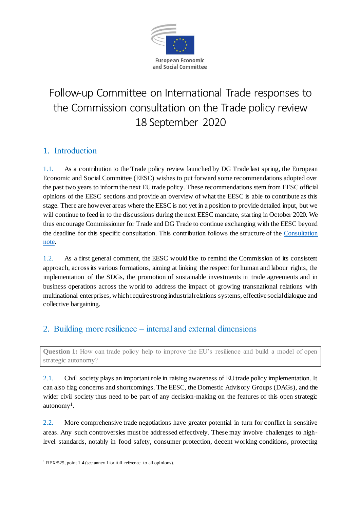

# Follow-up Committee on International Trade responses to the Commission consultation on the Trade policy review 18 September 2020

### 1. Introduction

1.1. As a contribution to the Trade policy review launched by DG Trade last spring, the European Economic and Social Committee (EESC) wishes to put forward some recommendations adopted over the past two years to inform the next EU trade policy. These recommendations stem from EESC official opinions of the EESC sections and provide an overview of what the EESC is able to contribute as this stage. There are however areas where the EESC is not yet in a position to provide detailed input, but we will continue to feed in to the discussions during the next EESC mandate, starting in October 2020. We thus encourage Commissioner for Trade and DG Trade to continue exchanging with the EESC beyond the deadline for this specific consultation. This contribution follows the structure of the [Consultation](https://trade.ec.europa.eu/doclib/docs/2020/june/tradoc_158779.pdf)  [note.](https://trade.ec.europa.eu/doclib/docs/2020/june/tradoc_158779.pdf)

1.2. As a first general comment, the EESC would like to remind the Commission of its consistent approach, across its various formations, aiming at linking the respect for human and labour rights, the implementation of the SDGs, the promotion of sustainable investments in trade agreements and in business operations across the world to address the impact of growing transnational relations with multinational enterprises, which require strong industrial relations systems, effective social dialogue and collective bargaining.

### 2. Building more resilience – internal and external dimensions

**Question 1:** How can trade policy help to improve the EU's resilience and build a model of open strategic autonomy?

2.1. Civil society plays an important role in raising awareness of EU trade policy implementation. It can also flag concerns and shortcomings. The EESC, the Domestic Advisory Groups (DAGs), and the wider civil society thus need to be part of any decision-making on the features of this open strategic autonomy<sup>1</sup>.

2.2. More comprehensive trade negotiations have greater potential in turn for conflict in sensitive areas. Any such controversies must be addressed effectively. These may involve challenges to highlevel standards, notably in food safety, consumer protection, decent working conditions, protecting

<sup>-</sup><sup>1</sup> REX/525, point 1.4 (see annex I for full reference to all opinions).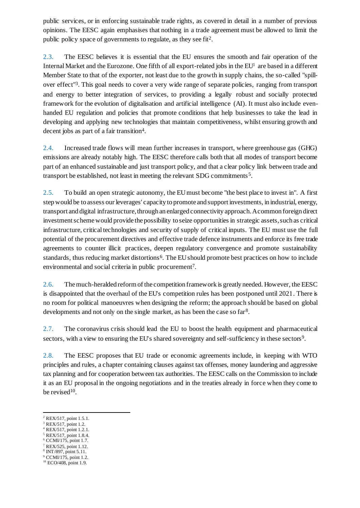public services, or in enforcing sustainable trade rights, as covered in detail in a number of previous opinions. The EESC again emphasises that nothing in a trade agreement must be allowed to limit the public policy space of governments to regulate, as they see fit<sup>2</sup>.

2.3. The EESC believes it is essential that the EU ensures the smooth and fair operation of the Internal Market and the Eurozone. One fifth of all export-related jobs in the EU<sup>1</sup> are based in a different Member State to that of the exporter, not least due to the growth in supply chains, the so-called "spillover effect"<sup>3</sup>. This goal needs to cover a very wide range of separate policies, ranging from transport and energy to better integration of services, to providing a legally robust and socially protected framework for the evolution of digitalisation and artificial intelligence (AI). It must also include evenhanded EU regulation and policies that promote conditions that help businesses to take the lead in developing and applying new technologies that maintain competitiveness, whilst ensuring growth and decent jobs as part of a fair transition<sup>4</sup>.

2.4. Increased trade flows will mean further increases in transport, where greenhouse gas (GHG) emissions are already notably high. The EESC therefore calls both that all modes of transport become part of an enhanced sustainable and just transport policy, and that a clear policy link between trade and transport be established, not least in meeting the relevant SDG commitments<sup>5</sup>.

2.5. To build an open strategic autonomy, the EUmust become "the best place to invest in". A first step would be to assess our leverages' capacity to promote and support investments, in industrial, energy, transport and digital infrastructure,through an enlarged connectivity approach. A common foreign direct investment scheme would provide the possibility to seize opportunities in strategic assets, such as critical infrastructure, critical technologies and security of supply of critical inputs. The EU must use the full potential of the procurement directives and effective trade defence instruments and enforce its free trade agreements to counter illicit practices, deepen regulatory convergence and promote sustainability standards, thus reducing market distortions<sup>6</sup>. The EU should promote best practices on how to include environmental and social criteria in public procurement<sup>7</sup>.

2.6. The much-heralded reform of the competition framework is greatly needed. However, the EESC is disappointed that the overhaul of the EU's competition rules has been postponed until 2021. There is no room for political manoeuvres when designing the reform; the approach should be based on global developments and not only on the single market, as has been the case so far<sup>8</sup>.

2.7. The coronavirus crisis should lead the EU to boost the health equipment and pharmaceutical sectors, with a view to ensuring the EU's shared sovereignty and self-sufficiency in these sectors<sup>9</sup>.

2.8. The EESC proposes that EU trade or economic agreements include, in keeping with WTO principles and rules, a chapter containing clauses against tax offenses, money laundering and aggressive tax planning and for cooperation between tax authorities. The EESC calls on the Commission to include it as an EU proposal in the ongoing negotiations and in the treaties already in force when they come to be revised<sup>10</sup>.

- <sup>6</sup> CCMI/175, point 1.7.
- <sup>7</sup> REX/525, point 1.12.
- 8 INT/897, point 5.11.
- <sup>9</sup> CCMI/175, point 1.2.

<sup>2</sup> REX/517, point 1.5.1.

<sup>3</sup> REX/517, point 1.2.

<sup>4</sup> REX/517, point 1.2.1. <sup>5</sup> REX/517, point 1.8.4.

<sup>10</sup> ECO/408, point 1.9.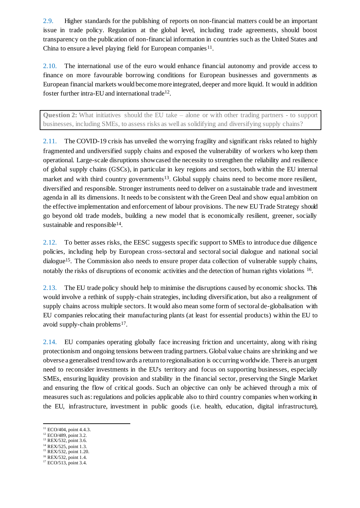2.9. Higher standards for the publishing of reports on non-financial matters could be an important issue in trade policy. Regulation at the global level, including trade agreements, should boost transparency on the publication of non-financial information in countries such as the United States and China to ensure a level playing field for European companies<sup>11</sup>.

2.10. The international use of the euro would enhance financial autonomy and provide access to finance on more favourable borrowing conditions for European businesses and governments as European financial markets would become more integrated, deeper and more liquid. It would in addition foster further intra-EU and international trade<sup>12</sup>.

**Question 2:** What initiatives should the EU take – alone or with other trading partners - to support businesses, including SMEs, to assess risks as well as solidifying and diversifying supply chains?

2.11. The COVID-19 crisis has unveiled the worrying fragility and significant risks related to highly fragmented and undiversified supply chains and exposed the vulnerability of workers who keep them operational. Large-scale disruptions showcased the necessity to strengthen the reliability and resilience of global supply chains (GSCs), in particular in key regions and sectors, both within the EU internal market and with third country governments<sup>13</sup>. Global supply chains need to become more resilient, diversified and responsible. Stronger instruments need to deliver on a sustainable trade and investment agenda in all its dimensions. It needs to be consistent with the Green Deal and show equal ambition on the effective implementation and enforcement of labour provisions. The new EU Trade Strategy should go beyond old trade models, building a new model that is economically resilient, greener, socially sustainable and responsible<sup>14</sup>.

2.12. To better asses risks, the EESC suggests specific support to SMEs to introduce due diligence policies, including help by European cross-sectoral and sectoral social dialogue and national social dialogue<sup>15</sup>. The Commission also needs to ensure proper data collection of vulnerable supply chains, notably the risks of disruptions of economic activities and the detection of human rights violations <sup>16</sup>.

2.13. The EU trade policy should help to minimise the disruptions caused by economic shocks. This would involve a rethink of supply-chain strategies, including diversification, but also a realignment of supply chains across multiple sectors. It would also mean some form of sectoral de-globalisation with EU companies relocating their manufacturing plants (at least for essential products) within the EU to avoid supply-chain problems<sup>17</sup>.

2.14. EU companies operating globally face increasing friction and uncertainty, along with rising protectionism and ongoing tensions between trading partners. Global value chains are shrinking and we obverse a generalised trend towards a return to regionalisation is occurring worldwide. There is an urgent need to reconsider investments in the EU's territory and focus on supporting businesses, especially SMEs, ensuring liquidity provision and stability in the financial sector, preserving the Single Market and ensuring the flow of critical goods. Such an objective can only be achieved through a mix of measures such as: regulations and policies applicable also to third country companies when working in the EU, infrastructure, investment in public goods (i.e. health, education, digital infrastructure),

- <sup>14</sup> REX/525, point 1.3. <sup>15</sup> REX/532, point 1.20.
- <sup>16</sup> REX/532, point 1.4.

<sup>-</sup><sup>11</sup> ECO/404, point 4.4.3.

<sup>&</sup>lt;sup>12</sup> ECO/489, point 3.2.

<sup>&</sup>lt;sup>13</sup> REX/532, point 3.6.

<sup>17</sup> ECO/513, point 3.4.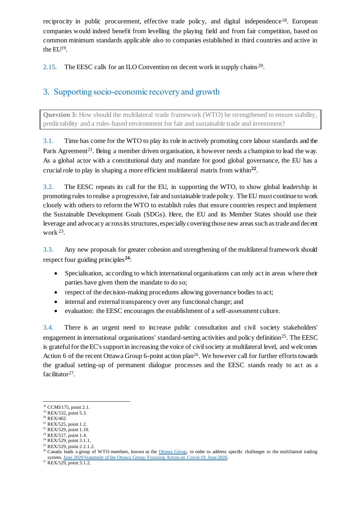reciprocity in public procurement, effective trade policy, and digital independence<sup>18</sup>. European companies would indeed benefit from levelling the playing field and from fair competition, based on common minimum standards applicable also to companies established in third countries and active in the  $EU<sup>19</sup>$ .

2.15. The EESC calls for an ILO Convention on decent work in supply chains<sup>20</sup>.

### 3. Supporting socio-economic recovery and growth

**Question 3:** How should the multilateral trade framework (WTO) be strengthened to ensure stability, predictability and a rules-based environment for fair and sustainable trade and investment?

3.1. Time has come for the WTO to play its role in actively promoting core labour standards and the Paris Agreement<sup>21</sup>. Being a member driven organisation, it however needs a champion to lead the way. As a global actor with a constitutional duty and mandate for good global governance, the EU has a crucial role to play in shaping a more efficient multilateral matrix from within**<sup>22</sup>** .

3.2. The EESC repeats its call for the EU, in supporting the WTO, to show global leadership in promoting rules to realise a progressive, fair and sustainable trade policy. The EU must continue to work closely with others to reform the WTO to establish rules that ensure countries respect and implement the Sustainable Development Goals (SDGs). Here, the EU and its Member States should use their leverage and advocacy across itsstructures, especially covering those new areas such as trade and decent work <sup>23</sup> .

3.3. Any new proposals for greater cohesion and strengthening of the multilateral framework should respect four guiding principles**24**:

- Specialisation, according to which international organisations can only act in areas where their parties have given them the mandate to do so;
- respect of the decision-making procedures allowing governance bodies to act;
- internal and external transparency over any functional change; and
- evaluation: the EESC encourages the establishment of a self-assessment culture.

3.4. There is an urgent need to increase public consultation and civil society stakeholders' engagement in international organisations' standard-setting activities and policy definition<sup>25</sup>. The EESC is grateful for the EC's support in increasing the voice of civil society at multilateral level, and welcomes Action 6 of the recent Ottawa Group 6-point action plan<sup>26</sup>. We however call for further efforts towards the gradual setting-up of permanent dialogue processes and the EESC stands ready to act as a facilitator<sup>27</sup>.

<sup>-</sup><sup>18</sup> CCMI/175, point 2.1.

<sup>19</sup> REX/532, point 5.3.

<sup>20</sup> REX/462*.*

<sup>21</sup> REX/525, point 1.2. <sup>22</sup> REX/529, point 1.10.

<sup>23</sup> REX/517, point 1.4.

<sup>&</sup>lt;sup>24</sup> REX/529, point 3.1.1.

<sup>25</sup> REX/529, point 2.2.1.2.

<sup>&</sup>lt;sup>26</sup> Canada leads a group of WTO members, known as the [Ottawa Group,](https://www.canada.ca/en/global-affairs/news/2019/05/ottawa-group-and-wto-reform.html) in order to address specific challenges to the multilateral trading system[. June 2020 Statement of the Ottawa Group: Focusing Action on](https://www.international.gc.ca/world-monde/international_relations-relations_internationales/wto-omc/2019-06-covid-19.aspx?lang=eng) Covid-19, June 2020.

 $27$  REX/529, point 3.1.2.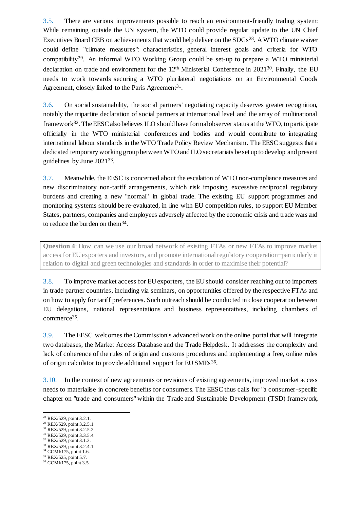3.5. There are various improvements possible to reach an environment-friendly trading system: While remaining outside the UN system, the WTO could provide regular update to the UN Chief Executives Board CEB on achievements that would help deliver on the SDGs<sup>28</sup>. A WTO climate waiver could define "climate measures": characteristics, general interest goals and criteria for WTO compatibility<sup>29</sup>. An informal WTO Working Group could be set-up to prepare a WTO ministerial declaration on trade and environment for the 12<sup>th</sup> Ministerial Conference in 2021<sup>30</sup>. Finally, the EU needs to work towards securing a WTO plurilateral negotiations on an Environmental Goods Agreement, closely linked to the Paris Agreement<sup>31</sup>.

3.6. On social sustainability, the social partners' negotiating capacity deserves greater recognition, notably the tripartite declaration of social partners at international level and the array of multinational framework<sup>32</sup>. The EESC also believes ILO should have formal observer status at the WTO, to participate officially in the WTO ministerial conferences and bodies and would contribute to integrating international labour standards in the WTO Trade Policy Review Mechanism. The EESC suggests that a dedicated temporary working group between WTO and ILO secretariats be set up to develop and present guidelines by June 2021<sup>33</sup>.

3.7. Meanwhile, the EESC is concerned about the escalation of WTO non-compliance measures and new discriminatory non-tariff arrangements, which risk imposing excessive reciprocal regulatory burdens and creating a new "normal" in global trade. The existing EU support programmes and monitoring systems should be re-evaluated, in line with EU competition rules, to support EU Member States, partners, companies and employees adversely affected by the economic crisis and trade wars and to reduce the burden on them<sup>34</sup>.

**Question 4**: How can we use our broad network of existing FTAs or new FTAs to improve market access for EU exporters and investors, and promote international regulatory cooperation-particularly in relation to digital and green technologies and standards in order to maximise their potential?

3.8. To improve market access for EU exporters, the EU should consider reaching out to importers in trade partner countries, including via seminars, on opportunities offered by the respective FTAs and on how to apply for tariff preferences. Such outreach should be conducted in close cooperation between EU delegations, national representations and business representatives, including chambers of commerce<sup>35</sup> .

3.9. The EESC welcomes the Commission's advanced work on the online portal that will integrate two databases, the Market Access Database and the Trade Helpdesk. It addresses the complexity and lack of coherence of the rules of origin and customs procedures and implementing a free, online rules of origin calculator to provide additional support for EU SMEs<sup>36</sup>.

3.10. In the context of new agreements or revisions of existing agreements, improved market access needs to materialise in concrete benefits for consumers. The EESC thus calls for "a consumer-specific chapter on "trade and consumers" within the Trade and Sustainable Development (TSD) framework,

-

<sup>30</sup> REX/529, point 3.2.5.2. <sup>31</sup> REX/529, point 3.3.5.4.

- <sup>33</sup> REX/529, point 3.2.4.1.
- <sup>34</sup> CCMI/175, point 1.6.
- <sup>35</sup> REX/525, point 5.7.

<sup>&</sup>lt;sup>28</sup> REX/529, point 3.2.1.

<sup>29</sup> REX/529, point 3.2.5.1.

<sup>32</sup> REX/529, point 3.1.3.

<sup>36</sup> CCMI/175, point 3.5.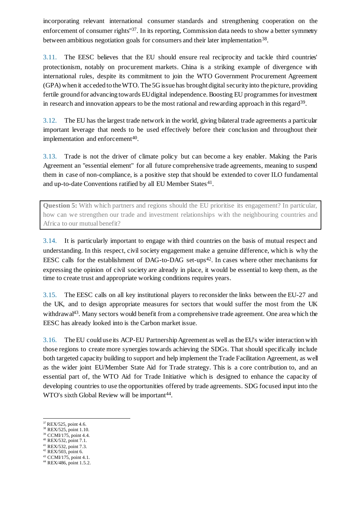incorporating relevant international consumer standards and strengthening cooperation on the enforcement of consumer rights<sup>"37</sup>. In its reporting, Commission data needs to show a better symmetry between ambitious negotiation goals for consumers and their later implementation<sup>38</sup>.

3.11. The EESC believes that the EU should ensure real reciprocity and tackle third countries' protectionism, notably on procurement markets. China is a striking example of divergence with international rules, despite its commitment to join the WTO Government Procurement Agreement (GPA) when it acceded to the WTO. The 5G issue has brought digital security into the picture, providing fertile ground for advancing towards EU digital independence. Boosting EU programmes for investment in research and innovation appears to be the most rational and rewarding approach in this regard<sup>39</sup>.

3.12. The EU has the largest trade network in the world, giving bilateral trade agreements a particular important leverage that needs to be used effectively before their conclusion and throughout their implementation and enforcement<sup>40</sup>.

3.13. Trade is not the driver of climate policy but can become a key enabler. Making the Paris Agreement an "essential element" for all future comprehensive trade agreements, meaning to suspend them in case of non-compliance, is a positive step that should be extended to cover ILO fundamental and up-to-date Conventions ratified by all EU Member States<sup>41</sup>.

**Question 5:** With which partners and regions should the EU prioritise its engagement? In particular, how can we strengthen our trade and investment relationships with the neighbouring countries and Africa to our mutual benefit?

3.14. It is particularly important to engage with third countries on the basis of mutual respect and understanding. In this respect, civil society engagement make a genuine difference, which is why the EESC calls for the establishment of DAG-to-DAG set-ups<sup>42</sup>. In cases where other mechanisms for expressing the opinion of civil society are already in place, it would be essential to keep them, as the time to create trust and appropriate working conditions requires years.

3.15. The EESC calls on all key institutional players to reconsider the links between the EU-27 and the UK, and to design appropriate measures for sectors that would suffer the most from the UK withdrawal<sup>43</sup>. Many sectors would benefit from a comprehensive trade agreement. One area which the EESC has already looked into is the Carbon market issue.

3.16. The EU could use its ACP-EU Partnership Agreement as well as the EU's wider interaction with those regions to create more synergies towards achieving the SDGs. That should specifically include both targeted capacity building to support and help implement the Trade Facilitation Agreement, as well as the wider joint EU/Member State Aid for Trade strategy. This is a core contribution to, and an essential part of, the WTO Aid for Trade Initiative which is designed to enhance the capacity of developing countries to use the opportunities offered by trade agreements. SDG focused input into the WTO's sixth Global Review will be important<sup>44</sup>.

-

<sup>42</sup> REX/503, point 6.

<sup>&</sup>lt;sup>37</sup> REX/525, point 4.6.

<sup>38</sup> REX/525, point 1.10.

<sup>39</sup> CCMI/175, point 4.4. <sup>40</sup> REX/532, point 7.1.

<sup>41</sup> REX/532, point 7.3.

<sup>43</sup> CCMI/175, point 4.1.

<sup>44</sup> REX/486, point 1.5.2.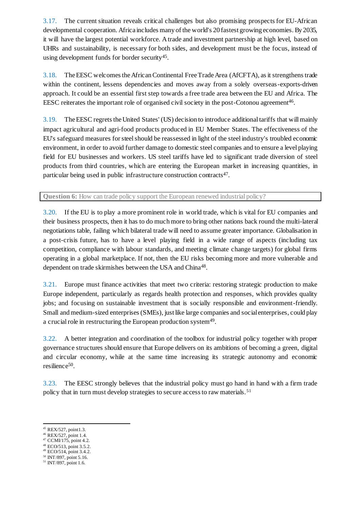3.17. The current situation reveals critical challenges but also promising prospects for EU-African developmental cooperation. Africa includes many of the world's 20 fastest growing economies. By 2035, it will have the largest potential workforce. A trade and investment partnership at high level, based on UHRs and sustainability, is necessary for both sides, and development must be the focus, instead of using development funds for border security<sup>45</sup>.

3.18. The EESC welcomes the African Continental Free Trade Area (AfCFTA), as it strengthens trade within the continent, lessens dependencies and moves away from a solely overseas-exports-driven approach. It could be an essential first step towards a free trade area between the EU and Africa. The EESC reiterates the important role of organised civil society in the post-Cotonou agreement<sup>46</sup>.

3.19. The EESC regrets the United States' (US) decision to introduce additional tariffs that will mainly impact agricultural and agri-food products produced in EU Member States. The effectiveness of the EU's safeguard measures for steel should be reassessed in light of the steel industry's troubled economic environment, in order to avoid further damage to domestic steel companies and to ensure a level playing field for EU businesses and workers. US steel tariffs have led to significant trade diversion of steel products from third countries, which are entering the European market in increasing quantities, in particular being used in public infrastructure construction contracts<sup>47</sup>.

**Question 6:** How can trade policy support the European renewed industrial policy?

3.20. If the EU is to play a more prominent role in world trade, which is vital for EU companies and their business prospects, then it has to do much more to bring other nations back round the multi-lateral negotiations table, failing which bilateral trade will need to assume greater importance. Globalisation in a post-crisis future, has to have a level playing field in a wide range of aspects (including tax competition, compliance with labour standards, and meeting climate change targets) for global firms operating in a global marketplace. If not, then the EU risks becoming more and more vulnerable and dependent on trade skirmishes between the USA and China<sup>48</sup>.

3.21. Europe must finance activities that meet two criteria: restoring strategic production to make Europe independent, particularly as regards health protection and responses, which provides quality jobs; and focusing on sustainable investment that is socially responsible and environment-friendly. Small and medium-sized enterprises (SMEs), just like large companies and social enterprises, could play a crucial role in restructuring the European production system<sup>49</sup>.

3.22. A better integration and coordination of the toolbox for industrial policy together with proper governance structures should ensure that Europe delivers on its ambitions of becoming a green, digital and circular economy, while at the same time increasing its strategic autonomy and economic resilience<sup>50</sup>.

3.23. The EESC strongly believes that the industrial policy must go hand in hand with a firm trade policy that in turn must develop strategies to secure access to raw materials. <sup>51</sup>

- <sup>49</sup> ECO/514, point 3.4.2.
- <sup>50</sup> INT/897, point 5.16.

<sup>45</sup> REX/527, point1.3.

<sup>46</sup> REX/527, point 1.4.

 $47$  CCMI/175, point 4.2. <sup>48</sup> ECO/513, point 3.5.2.

<sup>51</sup> INT/897, point 1.6.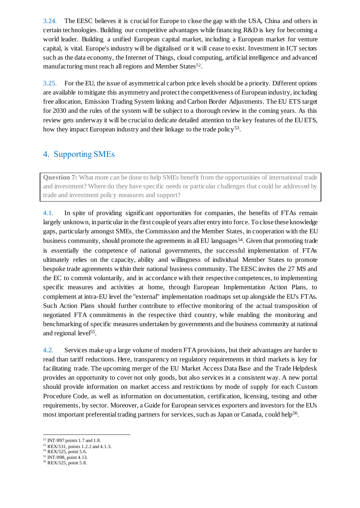3.24. The EESC believes it is crucial for Europe to close the gap with the USA, China and others in certain technologies. Building our competitive advantages while financing R&D is key for becoming a world leader. Building a unified European capital market, including a European market for venture capital, is vital. Europe's industry will be digitalised or it will cease to exist. Investment in ICT sectors such as the data economy, the Internet of Things, cloud computing, artificial intelligence and advanced manufacturing must reach all regions and Member States<sup>52</sup>.

3.25. For the EU, the issue of asymmetrical carbon price levels should be a priority. Different options are available to mitigate this asymmetry and protect the competitiveness of European industry, including free allocation, Emission Trading System linking and Carbon Border Adjustments. The EU ETS target for 2030 and the rules of the system will be subject to a thorough review in the coming years. As this review gets underway it will be crucial to dedicate detailed attention to the key features of the EU ETS, how they impact European industry and their linkage to the trade policy<sup>53</sup>.

### 4. Supporting SMEs

**Question 7:** What more can be done to help SMEs benefit from the opportunities of international trade and investment? Where do they have specific needs or particular challenges that could be addressed by trade and investment policy measures and support?

4.1. In spite of providing significant opportunities for companies, the benefits of FTAs remain largely unknown, in particular in the first couple of years after entry into force. To close these knowledge gaps, particularly amongst SMEs, the Commission and the Member States, in cooperation with the EU business community, should promote the agreements in all EU languages<sup>54</sup>. Given that promoting trade is essentially the competence of national governments, the successful implementation of FTAs ultimately relies on the capacity, ability and willingness of individual Member States to promote bespoke trade agreements within their national business community. The EESC invites the 27 MS and the EC to commit voluntarily, and in accordance with their respective competences, to implementing specific measures and activities at home, through European Implementation Action Plans, to complement at intra-EU level the "external" implementation roadmaps set up alongside the EU's FTAs. Such Action Plans should further contribute to effective monitoring of the actual transposition of negotiated FTA commitments in the respective third country, while enabling the monitoring and benchmarking of specific measures undertaken by governments and the business community at national and regional level<sup>55</sup>.

4.2. Services make up a large volume of modern FTA provisions, but their advantages are harder to read than tariff reductions. Here, transparency on regulatory requirements in third markets is key for facilitating trade. The upcoming merger of the EU Market Access Data Base and the Trade Helpdesk provides an opportunity to cover not only goods, but also services in a consistent way. A new portal should provide information on market access and restrictions by mode of supply for each Custom Procedure Code, as well as information on documentation, certification, licensing, testing and other requirements, by sector. Moreover, a Guide for European services exporters and investors for the EU's most important preferential trading partners for services, such as Japan or Canada, could help<sup>56</sup>.

<sup>52</sup> INT/897 points 1.7 and 1.8.

<sup>53</sup> REX/531, points 1.2.2 and 4.1.3.

<sup>54</sup> REX/525, point 5.6.

<sup>55</sup> INT/898, point 4.13.

<sup>56</sup> REX/525, point 5.8.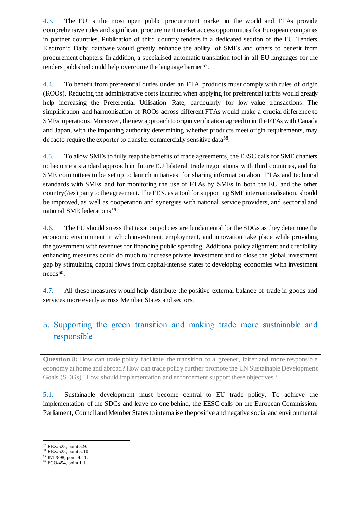4.3. The EU is the most open public procurement market in the world and FTAs provide comprehensive rules and significant procurement market access opportunities for European companies in partner countries. Publication of third country tenders in a dedicated section of the EU Tenders Electronic Daily database would greatly enhance the ability of SMEs and others to benefit from procurement chapters. In addition, a specialised automatic translation tool in all EU languages for the tenders published could help overcome the language barrier<sup>57</sup>.

4.4. To benefit from preferential duties under an FTA, products must comply with rules of origin (ROOs). Reducing the administrative costs incurred when applying for preferential tariffs would greatly help increasing the Preferential Utilisation Rate, particularly for low-value transactions. The simplification and harmonisation of ROOs across different FTAs would make a crucial difference to SMEs' operations. Moreover, the new approach to origin verification agreed to in the FTAs with Canada and Japan, with the importing authority determining whether products meet origin requirements, may de facto require the exporter to transfer commercially sensitive data<sup>58</sup>.

4.5. To allow SMEs to fully reap the benefits of trade agreements, the EESC calls for SME chapters to become a standard approach in future EU bilateral trade negotiations with third countries, and for SME committees to be set up to launch initiatives for sharing information about FTAs and technical standards with SMEs and for monitoring the use of FTAs by SMEs in both the EU and the other country(/ies) party to the agreement. The EEN, as a tool for supporting SME internationalisation, should be improved, as well as cooperation and synergies with national service providers, and sectorial and national SME federations<sup>59</sup>.

4.6. The EU should stress that taxation policies are fundamental for the SDGs as they determine the economic environment in which investment, employment, and innovation take place while providing the government with revenues for financing public spending. Additional policy alignment and credibility enhancing measures could do much to increase private investment and to close the global investment gap by stimulating capital flows from capital-intense states to developing economies with investment  $needs<sup>60</sup>$ .

4.7. All these measures would help distribute the positive external balance of trade in goods and services more evenly across Member States and sectors.

### 5. Supporting the green transition and making trade more sustainable and responsible

**Question 8:** How can trade policy facilitate the transition to a greener, fairer and more responsible economy at home and abroad? How can trade policy further promote the UN Sustainable Development Goals (SDGs)? How should implementation and enforcement support these objectives?

5.1. Sustainable development must become central to EU trade policy. To achieve the implementation of the SDGs and leave no one behind, the EESC calls on the European Commission, Parliament, Council and Member States to internalise the positive and negative social and environmental

<sup>-</sup><sup>57</sup> REX/525, point 5.9.

<sup>58</sup> REX/525, point 5.10.

<sup>59</sup> INT/898, point 4.11.

<sup>60</sup> ECO/494, point 1.1.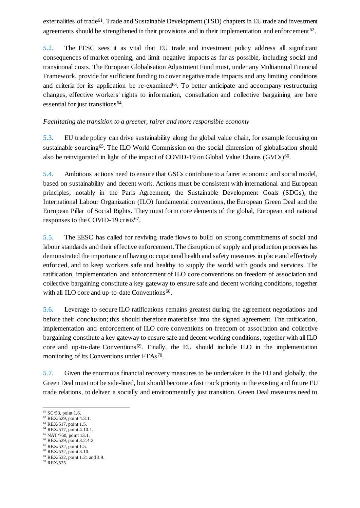externalities of trade<sup>61</sup>. Trade and Sustainable Development (TSD) chapters in EU trade and investment agreements should be strengthened in their provisions and in their implementation and enforcement<sup>62</sup>.

5.2. The EESC sees it as vital that EU trade and investment policy address all significant consequences of market opening, and limit negative impacts as far as possible, including social and transitional costs. The European Globalisation Adjustment Fund must, under any Multiannual Financial Framework, provide for sufficient funding to cover negative trade impacts and any limiting conditions and criteria for its application be re-examined<sup>63</sup>. To better anticipate and accompany restructuring changes, effective workers' rights to information, consultation and collective bargaining are here essential for just transitions<sup>64</sup>.

#### *Facilitating the transition to a greener, fairer and more responsible economy*

5.3. EU trade policy can drive sustainability along the global value chain, for example focusing on sustainable sourcing<sup>65</sup>. The ILO World Commission on the social dimension of globalisation should also be reinvigorated in light of the impact of COVID-19 on Global Value Chains (GVCs)<sup>66</sup>.

5.4. Ambitious actions need to ensure that GSCs contribute to a fairer economic and social model, based on sustainability and decent work. Actions must be consistent with international and European principles, notably in the Paris Agreement, the Sustainable Development Goals (SDGs), the International Labour Organization (ILO) fundamental conventions, the European Green Deal and the European Pillar of Social Rights. They must form core elements of the global, European and national responses to the COVID-19 crisis<sup>67</sup>.

5.5. The EESC has called for reviving trade flows to build on strong commitments of social and labour standards and their effective enforcement. The disruption of supply and production processes has demonstrated the importance of having occupational health and safety measures in place and effectively enforced, and to keep workers safe and healthy to supply the world with goods and services. The ratification, implementation and enforcement of ILO core conventions on freedom of association and collective bargaining constitute a key gateway to ensure safe and decent working conditions, together with all ILO core and up-to-date Conventions<sup>68</sup>.

5.6. Leverage to secure ILO ratifications remains greatest during the agreement negotiations and before their conclusion; this should therefore materialise into the signed agreement. The ratification, implementation and enforcement of ILO core conventions on freedom of association and collective bargaining constitute a key gateway to ensure safe and decent working conditions, together with all ILO core and up-to-date Conventions<sup>69</sup>. Finally, the EU should include ILO in the implementation monitoring of its Conventions under FTAs<sup>70</sup>.

5.7. Given the enormous financial recovery measures to be undertaken in the EU and globally, the Green Deal must not be side-lined, but should become a fast track priority in the existing and future EU trade relations, to deliver a socially and environmentally just transition. Green Deal measures need to

- <sup>64</sup> REX/517, point 4.10.1. <sup>65</sup> NAT/760, point 13.1.
- <sup>66</sup> REX/529, point 3.2.4.2.

<sup>68</sup> REX/532, point 3.10.

<sup>70</sup> REX/525.

<sup>-</sup> $61$  SC/53, point 1.6.

<sup>62</sup> REX/529, point 4.3.1.

<sup>63</sup> REX/517, point 1.5.

<sup>67</sup> REX/532, point 1.5.

<sup>69</sup> REX/532, point 1.21 and 3.9.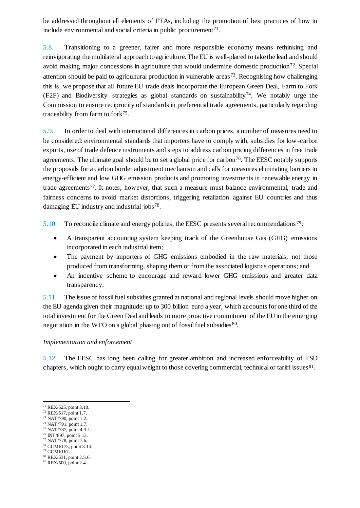be addressed throughout all elements of FTAs, including the promotion of best practices of how to include environmental and social criteria in public procurement $71$ .

5.8. Transitioning to a greener, fairer and more responsible economy means rethinking and reinvigorating the multilateral approach to agriculture. The EU is well-placed to take the lead and should avoid making major concessions in agriculture that would undermine domestic production<sup>72</sup>. Special attention should be paid to agricultural production in vulnerable areas <sup>73</sup> . Recognising how challenging this is, we propose that all future EU trade deals incorporate the European Green Deal, Farm to Fork  $(F2F)$  and Biodiversity strategies as global standards on sustainability<sup>74</sup>. We notably urge the Commission to ensure reciprocity of standards in preferential trade agreements, particularly regarding traceability from farm to fork<sup>75</sup>.

5.9. In order to deal with international differences in carbon prices, a number of measures need to be considered: environmental standards that importers have to comply with, subsidies for low-carbon exports, use of trade defence instruments and steps to address carbon pricing differences in free trade agreements. The ultimate goal should be to set a global price for carbon<sup>76</sup>. The EESC notably supports the proposals for a carbon border adjustment mechanism and calls for measures eliminating barriers to energy-efficient and low GHG emission products and promoting investments in renewable energy in trade agreements<sup>77</sup>. It notes, however, that such a measure must balance environmental, trade and fairness concerns to avoid market distortions, triggering retaliation against EU countries and thus damaging EU industry and industrial jobs<sup>78</sup>.

5.10. To reconcile climate and energy policies, the EESC presents several recommendations  $79$ :

- A transparent accounting system keeping track of the Greenhouse Gas (GHG) emissions incorporated in each industrial item;
- The payment by importers of GHG emissions embodied in the raw materials, not those produced from transforming, shaping them or from the associated logistics operations; and
- An incentive scheme to encourage and reward lower GHG emissions and greater data transparency.

5.11. The issue of fossil fuel subsidies granted at national and regional levels should move higher on the EU agenda given their magnitude: up to 300 billion euro a year, which accounts for one third of the total investment for the Green Deal and leads to more proactive commitment of the EU in the emerging negotiation in the WTO on a global phasing out of fossil fuel subsidies<sup>80</sup>.

#### *Implementation and enforcement*

5.12. The EESC has long been calling for greater ambition and increased enforceability of TSD chapters, which ought to carry equal weight to those covering commercial, technical or tariff issues 81.

- <sup>78</sup> CCMI/175, point 3.14.
- <sup>79</sup> CCMI/167.

<sup>71</sup> REX/525, point 3.10.

<sup>72</sup> REX/517, point 1.7.

<sup>73</sup> NAT/790, point 1.2. <sup>74</sup> NAT/791, point 1.7.

<sup>75</sup> NAT/787, point 4.3.1.

<sup>76</sup> INT/897, point 5.13.

 $77$  NAT/778, point 7.6.

<sup>80</sup> REX/531, point 2.5.6.

<sup>81</sup> REX/500, point 2.4.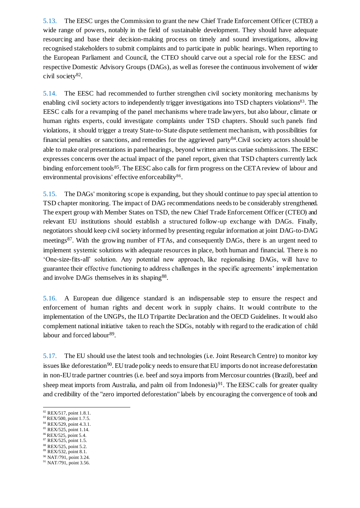5.13. The EESC urges the Commission to grant the new Chief Trade Enforcement Officer (CTEO) a wide range of powers, notably in the field of sustainable development. They should have adequate resourcing and base their decision-making process on timely and sound investigations, allowing recognised stakeholders to submit complaints and to participate in public hearings. When reporting to the European Parliament and Council, the CTEO should carve out a special role for the EESC and respective Domestic Advisory Groups (DAGs), as well as foresee the continuous involvement of wider civil society<sup>82</sup>.

5.14. The EESC had recommended to further strengthen civil society monitoring mechanisms by enabling civil society actors to independently trigger investigations into TSD chapters violations<sup>83</sup>. The EESC calls for a revamping of the panel mechanisms where trade lawyers, but also labour, climate or human rights experts, could investigate complaints under TSD chapters. Should such panels find violations, it should trigger a treaty State-to-State dispute settlement mechanism, with possibilities for financial penalties or sanctions, and remedies for the aggrieved party<sup>84</sup>. Civil society actors should be able to make oral presentations in panel hearings, beyond written amicus curiae submissions. The EESC expresses concerns over the actual impact of the panel report, given that TSD chapters currently lack binding enforcement tools<sup>85</sup>. The EESC also calls for firm progress on the CETA review of labour and environmental provisions' effective enforceability<sup>86</sup>.

5.15. The DAGs' monitoring scope is expanding, but they should continue to pay special attention to TSD chapter monitoring. The impact of DAG recommendations needs to be considerably strengthened. The expert group with Member States on TSD, the new Chief Trade Enforcement Officer (CTEO) and relevant EU institutions should establish a structured follow-up exchange with DAGs. Finally, negotiators should keep civil society informed by presenting regular information at joint DAG-to-DAG meetings<sup>87</sup>. With the growing number of FTAs, and consequently DAGs, there is an urgent need to implement systemic solutions with adequate resources in place, both human and financial. There is no 'One-size-fits-all' solution. Any potential new approach, like regionalising DAGs, will have to guarantee their effective functioning to address challenges in the specific agreements' implementation and involve DAGs themselves in its shaping<sup>88</sup>.

5.16. A European due diligence standard is an indispensable step to ensure the respect and enforcement of human rights and decent work in supply chains. It would contribute to the implementation of the UNGPs, the ILO Tripartite Declaration and the OECD Guidelines. It would also complement national initiative taken to reach the SDGs, notably with regard to the eradication of child labour and forced labour<sup>89</sup>.

5.17. The EU should use the latest tools and technologies (i.e. Joint Research Centre) to monitor key issues like deforestation<sup>90</sup>. EU trade policy needs to ensure that EU imports do not increase deforestation in non-EU trade partner countries (i.e. beef and soya imports from Mercosur countries (Brazil), beef and sheep meat imports from Australia, and palm oil from Indonesia)<sup>91</sup>. The EESC calls for greater quality and credibility of the "zero imported deforestation" labels by encouraging the convergence of tools and

- <sup>85</sup> REX/525, point 1.14.
- <sup>86</sup> REX/525, point 5.4.
- <sup>87</sup> REX/525, point 1.5.
- <sup>88</sup> REX/525, point 5.2.
- <sup>89</sup> REX/532, point 8.1.
- <sup>90</sup> NAT/791, point 3.24.

<sup>-</sup> $82$  REX/517, point 1.8.1.

<sup>83</sup> REX/500, point 1.7.5. <sup>84</sup> REX/529, point 4.3.1.

<sup>91</sup> NAT/791, point 3.56.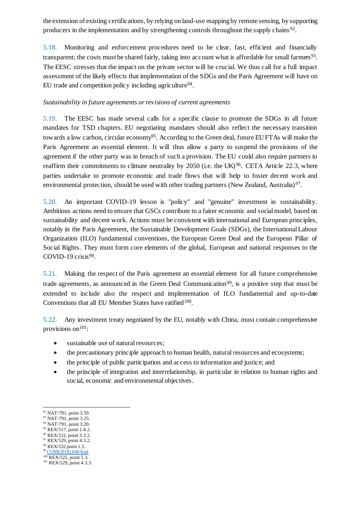the extension of existing certifications, by relying on land-use mapping by remote sensing, by supporting producers in the implementation and by strengthening controls throughout the supply chains<sup>92</sup>.

5.18. Monitoring and enforcement procedures need to be clear, fast, efficient and financially transparent; the costs must be shared fairly, taking into account what is affordable for small farmers<sup>93</sup>. The EESC stresses that the impact on the private sector will be crucial. We thus call for a full impact assessment of the likely effects that implementation of the SDGs and the Paris Agreement will have on EU trade and competition policy including agriculture<sup>94</sup>.

#### *Sustainability in future agreements or revisions of current agreements*

5.19. The EESC has made several calls for a specific clause to promote the SDGs in all future mandates for TSD chapters. EU negotiating mandates should also reflect the necessary transition towards a low carbon, circular economy<sup>95</sup>. According to the Green deal, future EU FTAs will make the Paris Agreement an essential element. It will thus allow a party to suspend the provisions of the agreement if the other party was in breach of such a provision. The EU could also require partners to reaffirm their commitments to climate neutrality by 2050 (i.e. the UK)<sup>96</sup>. CETA Article 22.3, where parties undertake to promote economic and trade flows that will help to foster decent work and environmental protection, should be used with other trading partners (New Zealand, Australia)<sup>97</sup>.

5.20. An important COVID-19 lesson is "policy" and "genuine" investment in sustainability. Ambitious actions need to ensure that GSCs contribute to a fairer economic and social model, based on sustainability and decent work. Actions must be consistent with international and European principles, notably in the Paris Agreement, the Sustainable Development Goals (SDGs), the International Labour Organization (ILO) fundamental conventions, the European Green Deal and the European Pillar of Social Rights. They must form core elements of the global, European and national responses to the COVID-19 crisis $98$ .

5.21. Making the respect of the Paris agreement an essential element for all future comprehensive trade agreements, as announced in the Green Deal Communication<sup>99</sup>, is a positive step that must be extended to include also the respect and implementation of ILO fundamental and up-to-date Conventions that all EU Member States have ratified<sup>100</sup>.

5.22. Any investment treaty negotiated by the EU, notably with China, must contain comprehensive provisions on $101$ :

- sustainable use of natural resources;
- the precautionary principle approach to human health, natural resources and ecosystems;
- the principle of public participation and access to information and justice; and
- the principle of integration and interrelationship, in particular in relation to human rights and social, economic and environmental objectives.

<sup>-</sup>92 NAT/791, point 3.59.

<sup>93</sup> NAT/791, point 3.25. <sup>94</sup> NAT/791, point 3.20.

<sup>95</sup> REX/517, point 1.8.2.

<sup>96</sup> REX/531, point 3.3.2.

<sup>97</sup> REX/529, point 4.3.2.

<sup>98</sup> REX/532 point 1.5.

<sup>99</sup> [COM\(2019\) 640 final](https://ec.europa.eu/info/sites/info/files/european-green-deal-communication_en.pdf)

<sup>&</sup>lt;sup>100</sup> REX/525, point 5.3.

<sup>&</sup>lt;sup>101</sup> REX/529, point 4.3.3.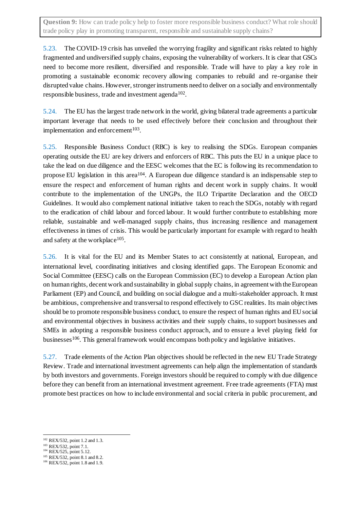**Question 9:** How can trade policy help to foster more responsible business conduct? What role should trade policy play in promoting transparent, responsible and sustainable supply chains?

5.23. The COVID-19 crisis has unveiled the worrying fragility and significant risks related to highly fragmented and undiversified supply chains, exposing the vulnerability of workers. It is clear that GSCs need to become more resilient, diversified and responsible. Trade will have to play a key role in promoting a sustainable economic recovery allowing companies to rebuild and re-organise their disrupted value chains. However, stronger instruments need to deliver on a socially and environmentally responsible business, trade and investment agenda<sup>102</sup>.

5.24. The EU has the largest trade network in the world, giving bilateral trade agreements a particular important leverage that needs to be used effectively before their conclusion and throughout their implementation and enforcement<sup>103</sup>.

5.25. Responsible Business Conduct (RBC) is key to realising the SDGs. European companies operating outside the EU are key drivers and enforcers of RBC. This puts the EU in a unique place to take the lead on due diligence and the EESC welcomes that the EC is following its recommendation to propose EU legislation in this area<sup>104</sup>. A European due diligence standard is an indispensable step to ensure the respect and enforcement of human rights and decent work in supply chains. It would contribute to the implementation of the UNGPs, the ILO Tripartite Declaration and the OECD Guidelines. It would also complement national initiative taken to reach the SDGs, notably with regard to the eradication of child labour and forced labour. It would further contribute to establishing more reliable, sustainable and well-managed supply chains, thus increasing resilience and management effectiveness in times of crisis. This would be particularly important for example with regard to health and safety at the workplace<sup>105</sup>.

5.26. It is vital for the EU and its Member States to act consistently at national, European, and international level, coordinating initiatives and closing identified gaps. The European Economic and Social Committee (EESC) calls on the European Commission (EC) to develop a European Action plan on human rights, decent work and sustainability in global supply chains, in agreement with the European Parliament (EP) and Council, and building on social dialogue and a multi-stakeholder approach. It must be ambitious, comprehensive and transversal to respond effectively to GSC realities. Its main objectives should be to promote responsible business conduct, to ensure the respect of human rights and EU social and environmental objectives in business activities and their supply chains, to support businesses and SMEs in adopting a responsible business conduct approach, and to ensure a level playing field for businesses<sup>106</sup>. This general framework would encompass both policy and legislative initiatives.

5.27. Trade elements of the Action Plan objectives should be reflected in the new EU Trade Strategy Review. Trade and international investment agreements can help align the implementation of standards by both investors and governments. Foreign investors should be required to comply with due diligence before they can benefit from an international investment agreement. Free trade agreements (FTA) must promote best practices on how to include environmental and social criteria in public procurement, and

<sup>&</sup>lt;sup>102</sup> REX/532, point 1.2 and 1.3.

<sup>103</sup> REX/532, point 7.1.

<sup>&</sup>lt;sup>104</sup> REX/525, point 5.12.

<sup>105</sup> REX/532, point 8.1 and 8.2.

<sup>106</sup> REX/532, point 1.8 and 1.9.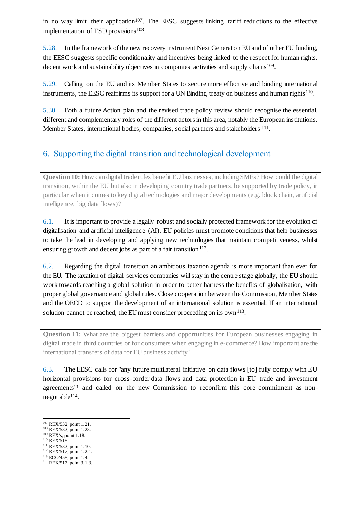in no way limit their application<sup>107</sup>. The EESC suggests linking tariff reductions to the effective implementation of TSD provisions<sup>108</sup>.

5.28. In the framework of the new recovery instrument Next Generation EU and of other EU funding, the EESC suggests specific conditionality and incentives being linked to the respect for human rights, decent work and sustainability objectives in companies' activities and supply chains<sup>109</sup>.

5.29. Calling on the EU and its Member States to secure more effective and binding international instruments, the EESC reaffirms its support for a UN Binding treaty on business and human rights<sup>110</sup>.

5.30. Both a future Action plan and the revised trade policy review should recognise the essential, different and complementary roles of the different actors in this area, notably the European institutions, Member States, international bodies, companies, social partners and stakeholders <sup>111</sup>.

### 6. Supporting the digital transition and technological development

**Question 10:** How can digital trade rules benefit EU businesses, including SMEs? How could the digital transition, within the EU but also in developing country trade partners, be supported by trade policy, in particular when it comes to key digital technologies and major developments (e.g. block chain, artificial intelligence, big data flows)?

6.1. It is important to provide a legally robust and socially protected framework for the evolution of digitalisation and artificial intelligence (AI). EU policies must promote conditions that help businesses to take the lead in developing and applying new technologies that maintain competitiveness, whilst ensuring growth and decent jobs as part of a fair transition  $112$ .

6.2. Regarding the digital transition an ambitious taxation agenda is more important than ever for the EU. The taxation of digital services companies will stay in the centre stage globally, the EU should work towards reaching a global solution in order to better harness the benefits of globalisation, with proper global governance and global rules. Close cooperation between the Commission, Member States and the OECD to support the development of an international solution is essential. If an international solution cannot be reached, the EU must consider proceeding on its own<sup>113</sup>.

**Question 11:** What are the biggest barriers and opportunities for European businesses engaging in digital trade in third countries or for consumers when engaging in e-commerce? How important are the international transfers of data for EU business activity?

6.3. The EESC calls for "any future multilateral initiative on data flows [to] fully comply with EU horizontal provisions for cross-border data flows and data protection in EU trade and investment agreements"<sup>1</sup> and called on the new Commission to reconfirm this core commitment as nonnegotiable<sup>114</sup>.

 $110$  REX/518.

- <sup>111</sup> REX/532, point 1.10.
- <sup>112</sup> REX/517, point 1.2.1.

<sup>&</sup>lt;sup>107</sup> REX/532, point 1.21.

<sup>108</sup> REX/532, point 1.23.  $109$  REX/s, point 1.18.

<sup>113</sup> ECO/458, point 1.4.

<sup>114</sup> REX/517, point 3.1.3.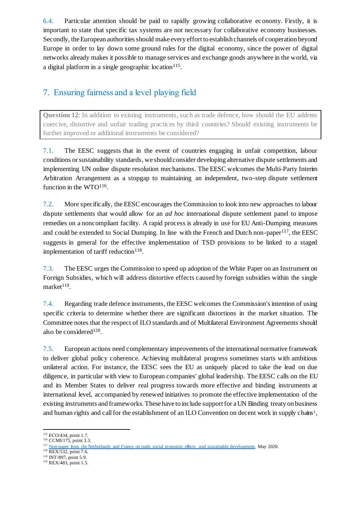6.4. Particular attention should be paid to rapidly growing collaborative economy. Firstly, it is important to state that specific tax systems are not necessary for collaborative economy businesses. Secondly, the European authorities should make every effort to establish channels of cooperation beyond Europe in order to lay down some ground rules for the digital economy, since the power of digital networks already makes it possible to manage services and exchange goods anywhere in the world, via a digital platform in a single geographic location<sup>115</sup>.

### 7. Ensuring fairness and a level playing field

**Question 12**: In addition to existing instruments, such as trade defence, how should the EU address coercive, distortive and unfair trading practices by third countries? Should existing instruments be further improved or additional instruments be considered?

7.1. The EESC suggests that in the event of countries engaging in unfair competition, labour conditions or sustainability standards, we should consider developing alternative dispute settlements and implementing UN online dispute resolution mechanisms. The EESC welcomes the Multi-Party Interim Arbitration Arrangement as a stopgap to maintaining an independent, two-step dispute settlement function in the WTO<sup>116</sup>.

7.2. More specifically, the EESC encourages the Commission to look into new approaches to labour dispute settlements that would allow for an *ad hoc* international dispute settlement panel to impose remedies on a noncompliant facility. A rapid process is already in use for EU Anti-Dumping measures and could be extended to Social Dumping. In line with the French and Dutch non-paper<sup>117</sup>, the EESC suggests in general for the effective implementation of TSD provisions to be linked to a staged implementation of tariff reduction<sup>118</sup>.

7.3. The EESC urges the Commission to speed up adoption of the White Paper on an Instrument on Foreign Subsidies, which will address distortive effects caused by foreign subsidies within the single market<sup>119</sup>.

7.4. Regarding trade defence instruments, the EESC welcomes the Commission's intention of using specific criteria to determine whether there are significant distortions in the market situation. The Committee notes that the respect of ILO standards and of Multilateral Environment Agreements should also be considered<sup>120</sup>.

7.5. European actions need complementary improvements of the international normative framework to deliver global policy coherence. Achieving multilateral progress sometimes starts with ambitious unilateral action. For instance, the EESC sees the EU as uniquely placed to take the lead on due diligence, in particular with view to European companies' global leadership. The EESC calls on the EU and its Member States to deliver real progress towards more effective and binding instruments at international level, accompanied by renewed initiatives to promote the effective implementation of the existing instruments and frameworks. These have to include support for a UN Binding treaty on business and human rights and call for the establishment of an ILO Convention on decent work in supply chains<sup>1</sup>,

<sup>-</sup><sup>115</sup> ECO/434, point 1.7.

<sup>116</sup> CCMI/175, point 3.3.

<sup>&</sup>lt;sup>117</sup> [Non-paper from the Netherlands and France on trade social economic effects and sustainable development,](https://www.rijksoverheid.nl/documenten/publicaties/2020/05/14/non-paper-from-the-netherlands-and-france-on-trade-social-economic-effects-and-sustainable-development) May 2020.

<sup>118</sup> REX/532, point 7.6.

<sup>119</sup> INT/897, point 5.9.

<sup>&</sup>lt;sup>120</sup> REX/483, point 1.5.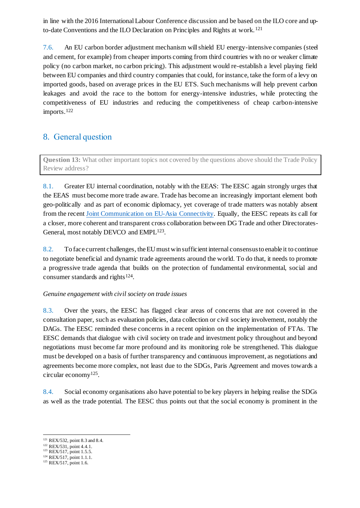in line with the 2016 International Labour Conference discussion and be based on the ILO core and upto-date Conventions and the ILO Declaration on Principles and Rights at work. <sup>121</sup>

7.6. An EU carbon border adjustment mechanism will shield EU energy-intensive companies (steel and cement, for example) from cheaper imports coming from third countries with no or weaker climate policy (no carbon market, no carbon pricing). This adjustment would re-establish a level playing field between EU companies and third country companies that could, for instance, take the form of a levy on imported goods, based on average prices in the EU ETS. Such mechanisms will help prevent carbon leakages and avoid the race to the bottom for energy-intensive industries, while protecting the competitiveness of EU industries and reducing the competitiveness of cheap carbon-intensive imports.<sup>122</sup>

### 8. General question

**Question 13:** What other important topics not covered by the questions above should the Trade Policy Review address?

8.1. Greater EU internal coordination, notably with the EEAS: The EESC again strongly urges that the EEAS must become more trade aware. Trade has become an increasingly important element both geo-politically and as part of economic diplomacy, yet coverage of trade matters was notably absent from the recent [Joint Communication on EU-Asia Connectivity.](https://eeas.europa.eu/sites/eeas/files/joint_communication_-_connecting_europe_and_asia_-_building_blocks_for_an_eu_strategy_2018-09-19.pdf) Equally, the EESC repeats its call for a closer, more coherent and transparent cross collaboration between DG Trade and other Directorates-General, most notably DEVCO and EMPL<sup>123</sup>.

8.2. To face current challenges, the EU must win sufficient internal consensus to enable it to continue to negotiate beneficial and dynamic trade agreements around the world. To do that, it needs to promote a progressive trade agenda that builds on the protection of fundamental environmental, social and consumer standards and rights $124$ .

#### *Genuine engagement with civil society on trade issues*

8.3. Over the years, the EESC has flagged clear areas of concerns that are not covered in the consultation paper, such as evaluation policies, data collection or civil society involvement, notably the DAGs. The EESC reminded these concerns in a recent opinion on the implementation of FTAs. The EESC demands that dialogue with civil society on trade and investment policy throughout and beyond negotiations must become far more profound and its monitoring role be strengthened. This dialogue must be developed on a basis of further transparency and continuous improvement, as negotiations and agreements become more complex, not least due to the SDGs, Paris Agreement and moves towards a circular economy<sup>125</sup> .

8.4. Social economy organisations also have potential to be key players in helping realise the SDGs as well as the trade potential. The EESC thus points out that the social economy is prominent in the

<sup>-</sup><sup>121</sup> REX/532, point 8.3 and 8.4.

<sup>122</sup> REX/531, point 4.4.1.

<sup>&</sup>lt;sup>123</sup> REX/517, point 1.5.5.

<sup>124</sup> REX/517, point 1.1.1.

<sup>125</sup> REX/517, point 1.6.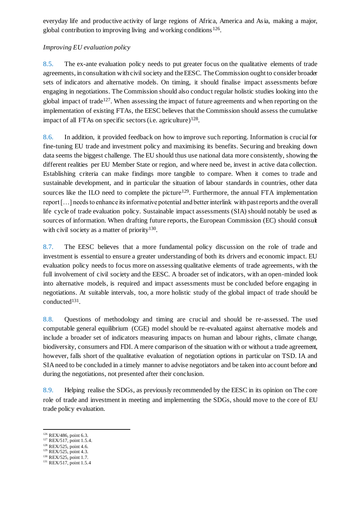everyday life and productive activity of large regions of Africa, America and Asia, making a major, global contribution to improving living and working conditions<sup>126</sup>.

#### *Improving EU evaluation policy*

8.5. The ex-ante evaluation policy needs to put greater focus on the qualitative elements of trade agreements, in consultation with civil society and the EESC. The Commission ought to consider broader sets of indicators and alternative models. On timing, it should finalise impact assessments before engaging in negotiations. The Commission should also conduct regular holistic studies looking into the global impact of trade<sup>127</sup>. When assessing the impact of future agreements and when reporting on the implementation of existing FTAs, the EESC believes that the Commission should assess the cumulative impact of all FTAs on specific sectors (i.e. agriculture) 128 .

8.6. In addition, it provided feedback on how to improve such reporting. Information is crucial for fine-tuning EU trade and investment policy and maximising its benefits. Securing and breaking down data seems the biggest challenge. The EU should thus use national data more consistently, showing the different realities per EU Member State or region, and where need be, invest in active data collection. Establishing criteria can make findings more tangible to compare. When it comes to trade and sustainable development, and in particular the situation of labour standards in countries, other data sources like the ILO need to complete the picture<sup>129</sup>. Furthermore, the annual FTA implementation report […] needs to enhance its informative potential and better interlink with past reports and the overall life cycle of trade evaluation policy. Sustainable impact assessments (SIA) should notably be used as sources of information. When drafting future reports, the European Commission (EC) should consult with civil society as a matter of priority<sup>130</sup>.

8.7. The EESC believes that a more fundamental policy discussion on the role of trade and investment is essential to ensure a greater understanding of both its drivers and economic impact. EU evaluation policy needs to focus more on assessing qualitative elements of trade agreements, with the full involvement of civil society and the EESC. A broader set of indicators, with an open-minded look into alternative models, is required and impact assessments must be concluded before engaging in negotiations. At suitable intervals, too, a more holistic study of the global impact of trade should be conducted<sup>131</sup>.

8.8. Questions of methodology and timing are crucial and should be re-assessed. The used computable general equilibrium (CGE) model should be re-evaluated against alternative models and include a broader set of indicators measuring impacts on human and labour rights, climate change, biodiversity, consumers and FDI. A mere comparison of the situation with or without a trade agreement, however, falls short of the qualitative evaluation of negotiation options in particular on TSD. IA and SIA need to be concluded in a timely manner to advise negotiators and be taken into account before and during the negotiations, not presented after their conclusion.

8.9. Helping realise the SDGs, as previously recommended by the EESC in its opinion on The core role of trade and investment in meeting and implementing the SDGs, should move to the core of EU trade policy evaluation.

- <sup>127</sup> REX/517, point 1.5.4. <sup>128</sup> REX/525, point 4.6.
- <sup>129</sup> REX/525, point 4.3.
- <sup>130</sup> REX/525, point 1.7.

 $126$  REX/486, point 6.3.

<sup>&</sup>lt;sup>131</sup> REX/517, point 1.5.4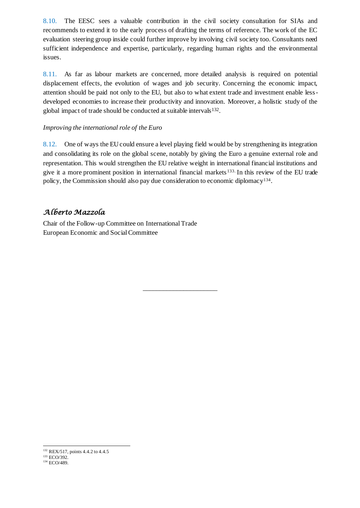8.10. The EESC sees a valuable contribution in the civil society consultation for SIAs and recommends to extend it to the early process of drafting the terms of reference. The work of the EC evaluation steering group inside could further improve by involving civil society too. Consultants need sufficient independence and expertise, particularly, regarding human rights and the environmental issues.

8.11. As far as labour markets are concerned, more detailed analysis is required on potential displacement effects, the evolution of wages and job security. Concerning the economic impact, attention should be paid not only to the EU, but also to what extent trade and investment enable lessdeveloped economies to increase their productivity and innovation. Moreover, a holistic study of the global impact of trade should be conducted at suitable intervals<sup>132</sup>.

#### *Improving the international role of the Euro*

8.12. One of ways the EU could ensure a level playing field would be by strengthening its integration and consolidating its role on the global scene, notably by giving the Euro a genuine external role and representation. This would strengthen the EU relative weight in international financial institutions and give it a more prominent position in international financial markets 133. In this review of the EU trade policy, the Commission should also pay due consideration to economic diplomacy<sup>134</sup>.

\_\_\_\_\_\_\_\_\_\_\_\_\_\_\_\_\_\_\_\_\_\_

### *Alberto Mazzola*

Chair of the Follow-up Committee on International Trade European Economic and Social Committee

<sup>&</sup>lt;sup>132</sup> REX/517, points 4.4.2 to 4.4.5

<sup>133</sup> ECO/392.

<sup>&</sup>lt;sup>134</sup> ECO/489.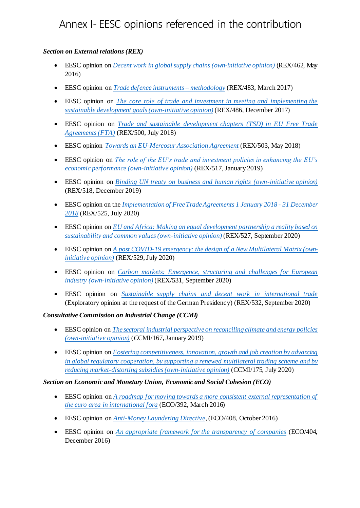## Annex I- EESC opinions referenced in the contribution

#### *Section on External relations (REX)*

- EESC opinion on *[Decent work in global supply chains \(own-initiative opinion\)](https://eur-lex.europa.eu/legal-content/EN/TXT/HTML/?uri=CELEX:52016IE0959&from=FR)* (REX/462, May 2016)
- EESC opinion on *[Trade defence instruments –](https://www.eesc.europa.eu/en/our-work/opinions-information-reports/opinions/trade-defence-instruments-methotology) methodology* (REX/483, March 2017)
- EESC opinion on *[The core role of trade and investment in meeting and implementing the](https://eur-lex.europa.eu/legal-content/EN/TXT/PDF/?uri=CELEX:52017IE1072&qid=1595251129865&from=EN)  [sustainable development goals \(own-initiative opinion\)](https://eur-lex.europa.eu/legal-content/EN/TXT/PDF/?uri=CELEX:52017IE1072&qid=1595251129865&from=EN)* (REX/486, December 2017)
- EESC opinion on *[Trade and sustainable development chapters \(TSD\) in EU Free Trade](https://eur-lex.europa.eu/legal-content/EN/TXT/PDF/?uri=CELEX:52017IE5323&from=EN)  [Agreements \(FTA\)](https://eur-lex.europa.eu/legal-content/EN/TXT/PDF/?uri=CELEX:52017IE5323&from=EN)* (REX/500, July 2018)
- EESC opinion *[Towards an EU-Mercosur Association Agreement](file:///C:/Users/dgalo/Desktop/It%20is%20particularly%20important%20to%20engage%20with%20third%20countries%20on%20the%20basis%20of%20mutual%20respect%20and%20understanding.%20In%20the%20EESC)* (REX/503, May 2018)
- EESC opinion on *[The role of the EU's trade and investment policies in enhancing the EU's](https://eur-lex.europa.eu/legal-content/EN/TXT/PDF/?uri=CELEX:52019IE2162&from=EN)  [economic performance \(own-initiative opinion\)](https://eur-lex.europa.eu/legal-content/EN/TXT/PDF/?uri=CELEX:52019IE2162&from=EN)* (REX/517, January 2019)
- EESC opinion on *[Binding UN treaty on business and human rights \(own-initiative opinion\)](https://eur-lex.europa.eu/legal-content/EN/TXT/?uri=CELEX:52019IE1278)* (REX/518, December 2019)
- EESC opinion on the *[Implementation of Free Trade Agreements 1 January 2018 -](https://www.eesc.europa.eu/en/our-work/opinions-information-reports/opinions/implementation-free-trade-agreements-1-january-2018-31-december-2018) 31 December [2018](https://www.eesc.europa.eu/en/our-work/opinions-information-reports/opinions/implementation-free-trade-agreements-1-january-2018-31-december-2018)* (REX/525, July 2020)
- EESC opinion on *[EU and Africa: Making an equal development partnership a reality based on](https://www.eesc.europa.eu/en/our-work/opinions-information-reports/opinions/eu-and-africa-making-equal-development-partnership-reality-based-sustainability-and-common-values-own-initiative-opinion)  [sustainability and common values \(own-initiative opinion\)](https://www.eesc.europa.eu/en/our-work/opinions-information-reports/opinions/eu-and-africa-making-equal-development-partnership-reality-based-sustainability-and-common-values-own-initiative-opinion)* (REX/527, September 2020)
- EESC opinion on *[A post COVID-19 emergency: the design of a New Multilateral Matrix \(own](https://www.eesc.europa.eu/en/our-work/opinions-information-reports/opinions/post-covid-19-emergency-design-new-multilateral-matrix-own-initiative-opinion)[initiative opinion\)](https://www.eesc.europa.eu/en/our-work/opinions-information-reports/opinions/post-covid-19-emergency-design-new-multilateral-matrix-own-initiative-opinion)* (REX/529, July 2020)
- EESC opinion on *[Carbon markets: Emergence, structuring and challenges for European](https://www.eesc.europa.eu/en/our-work/opinions-information-reports/opinions/carbon-markets-emergence-structuring-and-challenges-european-industry-own-initiative-opinion)  [industry \(own-initiative opinion\)](https://www.eesc.europa.eu/en/our-work/opinions-information-reports/opinions/carbon-markets-emergence-structuring-and-challenges-european-industry-own-initiative-opinion)* (REX/531, September 2020)
- EESC opinion on *[Sustainable supply chains and decent work in international trade](https://www.eesc.europa.eu/en/our-work/opinions-information-reports/opinions/sustainable-supply-chains-and-decent-work-international-trade-exploratory-opinion-request-german-presidency)* (Exploratory opinion at the request of the German Presidency) (REX/532, September 2020)

#### *Consultative Commission on Industrial Change (CCMI)*

- EESC opinion on *[The sectoral industrial perspective on reconciling climate and energy policies](https://eur-lex.europa.eu/legal-content/EN/TXT/PDF/?uri=CELEX:52019IE0927&from=EN)  [\(own-initiative opinion\)](https://eur-lex.europa.eu/legal-content/EN/TXT/PDF/?uri=CELEX:52019IE0927&from=EN)* (*C*CMI/167, January 2019)
- EESC opinion on *[Fostering competitiveness, innovation, growth and job creation by advancing](https://www.eesc.europa.eu/en/our-work/opinions-information-reports/opinions/fostering-competitiveness-innovation-growth-and-job-creation-advancing-global-regulatory-cooperation-supporting-renewed)  [in global regulatory cooperation, by supporting a renewed multilateral trading](https://www.eesc.europa.eu/en/our-work/opinions-information-reports/opinions/fostering-competitiveness-innovation-growth-and-job-creation-advancing-global-regulatory-cooperation-supporting-renewed) scheme and by [reducing market-distorting subsidies \(own-initiative opinion\)](https://www.eesc.europa.eu/en/our-work/opinions-information-reports/opinions/fostering-competitiveness-innovation-growth-and-job-creation-advancing-global-regulatory-cooperation-supporting-renewed)* (CCMI/175, July 2020)

#### *Section on Economic and Monetary Union, Economic and Social Cohesion (ECO)*

- EESC opinion on *[A roadmap for moving towards a more consistent external representation of](https://eur-lex.europa.eu/legal-content/EN/TXT/PDF/?uri=CELEX:52015AE5877&qid=1595238128826&from=EN)  [the euro area in international fora](https://eur-lex.europa.eu/legal-content/EN/TXT/PDF/?uri=CELEX:52015AE5877&qid=1595238128826&from=EN)* (ECO/392, March 2016)
- EESC opinion on *[Anti-Money Laundering Directive](https://api2016.eesc.europa.eu/v1/documents/eesc-2016-04274-00-01-ac-tra-en.docx/content)*, (ECO/408, October 2016)
- EESC opinion on *[An appropriate framework for the transparency of companies](https://eur-lex.europa.eu/legal-content/EN/TXT/PDF/?uri=OJ:C:2017:075:FULL&from=EN)* (ECO/404, December 2016)